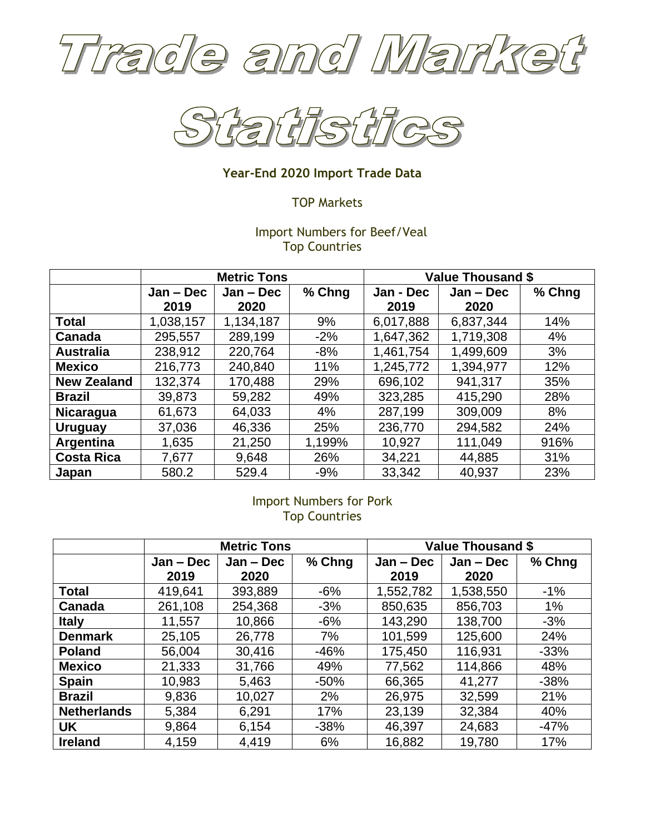



# **Year-End 2020 Import Trade Data**

# TOP Markets

# Import Numbers for Beef/Veal Top Countries

|                    | <b>Metric Tons</b> |             |        | Value Thousand \$ |             |        |
|--------------------|--------------------|-------------|--------|-------------------|-------------|--------|
|                    | $Jan - Dec$        | $Jan - Dec$ | % Chng | Jan - Dec         | $Jan - Dec$ | % Chng |
|                    | 2019               | 2020        |        | 2019              | 2020        |        |
| <b>Total</b>       | 1,038,157          | 1,134,187   | 9%     | 6,017,888         | 6,837,344   | 14%    |
| Canada             | 295,557            | 289,199     | $-2%$  | 1,647,362         | 1,719,308   | 4%     |
| <b>Australia</b>   | 238,912            | 220,764     | $-8%$  | 1,461,754         | 1,499,609   | 3%     |
| <b>Mexico</b>      | 216,773            | 240,840     | 11%    | 1,245,772         | 1,394,977   | 12%    |
| <b>New Zealand</b> | 132,374            | 170,488     | 29%    | 696,102           | 941,317     | 35%    |
| <b>Brazil</b>      | 39,873             | 59,282      | 49%    | 323,285           | 415,290     | 28%    |
| <b>Nicaragua</b>   | 61,673             | 64,033      | 4%     | 287,199           | 309,009     | 8%     |
| <b>Uruguay</b>     | 37,036             | 46,336      | 25%    | 236,770           | 294,582     | 24%    |
| Argentina          | 1,635              | 21,250      | 1,199% | 10,927            | 111,049     | 916%   |
| <b>Costa Rica</b>  | 7,677              | 9,648       | 26%    | 34,221            | 44,885      | 31%    |
| Japan              | 580.2              | 529.4       | $-9%$  | 33,342            | 40,937      | 23%    |

# Import Numbers for Pork Top Countries

|                    | <b>Metric Tons</b> |             |        | <b>Value Thousand \$</b> |             |        |
|--------------------|--------------------|-------------|--------|--------------------------|-------------|--------|
|                    | $Jan - Dec$        | $Jan - Dec$ | % Chng | $Jan - Dec$              | $Jan - Dec$ | % Chng |
|                    | 2019               | 2020        |        | 2019                     | 2020        |        |
| <b>Total</b>       | 419,641            | 393,889     | $-6%$  | 1,552,782                | 1,538,550   | $-1%$  |
| Canada             | 261,108            | 254,368     | $-3%$  | 850,635                  | 856,703     | $1\%$  |
| <b>Italy</b>       | 11,557             | 10,866      | $-6%$  | 143,290                  | 138,700     | $-3%$  |
| <b>Denmark</b>     | 25,105             | 26,778      | 7%     | 101,599                  | 125,600     | 24%    |
| <b>Poland</b>      | 56,004             | 30,416      | $-46%$ | 175,450                  | 116,931     | $-33%$ |
| <b>Mexico</b>      | 21,333             | 31,766      | 49%    | 77,562                   | 114,866     | 48%    |
| <b>Spain</b>       | 10,983             | 5,463       | $-50%$ | 66,365                   | 41,277      | $-38%$ |
| <b>Brazil</b>      | 9,836              | 10,027      | 2%     | 26,975                   | 32,599      | 21%    |
| <b>Netherlands</b> | 5,384              | 6,291       | 17%    | 23,139                   | 32,384      | 40%    |
| UK                 | 9,864              | 6,154       | $-38%$ | 46,397                   | 24,683      | $-47%$ |
| <b>Ireland</b>     | 4,159              | 4,419       | 6%     | 16,882                   | 19,780      | 17%    |